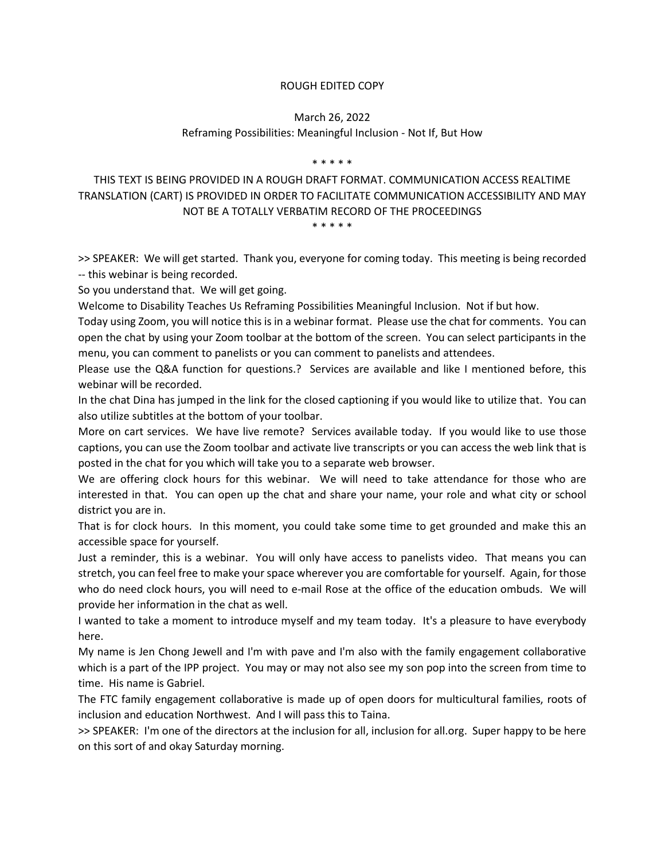### ROUGH EDITED COPY

### March 26, 2022 Reframing Possibilities: Meaningful Inclusion - Not If, But How

#### \* \* \* \* \*

# THIS TEXT IS BEING PROVIDED IN A ROUGH DRAFT FORMAT. COMMUNICATION ACCESS REALTIME TRANSLATION (CART) IS PROVIDED IN ORDER TO FACILITATE COMMUNICATION ACCESSIBILITY AND MAY NOT BE A TOTALLY VERBATIM RECORD OF THE PROCEEDINGS

\* \* \* \* \*

>> SPEAKER: We will get started. Thank you, everyone for coming today. This meeting is being recorded -- this webinar is being recorded.

So you understand that. We will get going.

Welcome to Disability Teaches Us Reframing Possibilities Meaningful Inclusion. Not if but how.

Today using Zoom, you will notice this is in a webinar format. Please use the chat for comments. You can open the chat by using your Zoom toolbar at the bottom of the screen. You can select participants in the menu, you can comment to panelists or you can comment to panelists and attendees.

Please use the Q&A function for questions.? Services are available and like I mentioned before, this webinar will be recorded.

In the chat Dina has jumped in the link for the closed captioning if you would like to utilize that. You can also utilize subtitles at the bottom of your toolbar.

More on cart services. We have live remote? Services available today. If you would like to use those captions, you can use the Zoom toolbar and activate live transcripts or you can access the web link that is posted in the chat for you which will take you to a separate web browser.

We are offering clock hours for this webinar. We will need to take attendance for those who are interested in that. You can open up the chat and share your name, your role and what city or school district you are in.

That is for clock hours. In this moment, you could take some time to get grounded and make this an accessible space for yourself.

Just a reminder, this is a webinar. You will only have access to panelists video. That means you can stretch, you can feel free to make your space wherever you are comfortable for yourself. Again, for those who do need clock hours, you will need to e-mail Rose at the office of the education ombuds. We will provide her information in the chat as well.

I wanted to take a moment to introduce myself and my team today. It's a pleasure to have everybody here.

My name is Jen Chong Jewell and I'm with pave and I'm also with the family engagement collaborative which is a part of the IPP project. You may or may not also see my son pop into the screen from time to time. His name is Gabriel.

The FTC family engagement collaborative is made up of open doors for multicultural families, roots of inclusion and education Northwest. And I will pass this to Taina.

>> SPEAKER: I'm one of the directors at the inclusion for all, inclusion for all.org. Super happy to be here on this sort of and okay Saturday morning.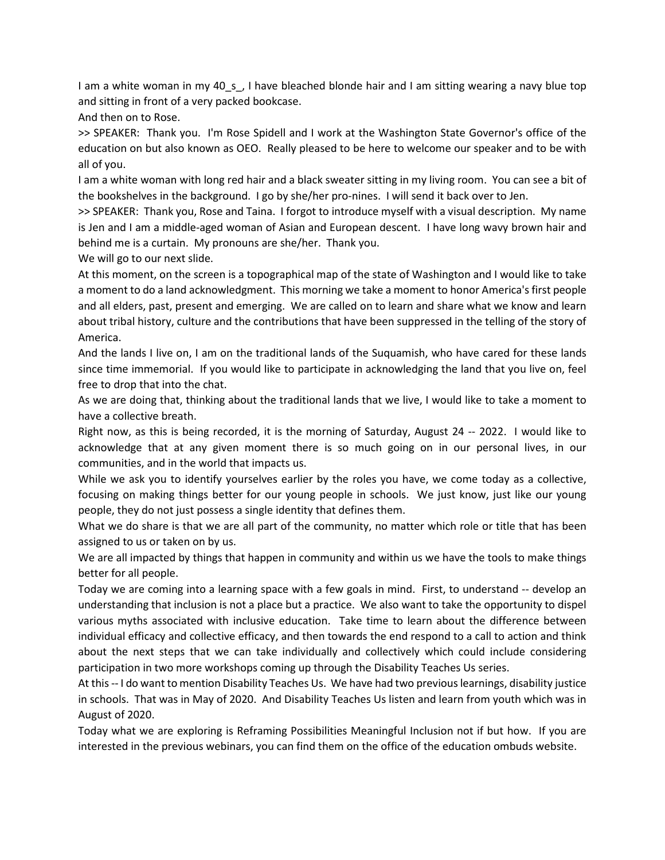I am a white woman in my 40\_s\_, I have bleached blonde hair and I am sitting wearing a navy blue top and sitting in front of a very packed bookcase.

And then on to Rose.

>> SPEAKER: Thank you. I'm Rose Spidell and I work at the Washington State Governor's office of the education on but also known as OEO. Really pleased to be here to welcome our speaker and to be with all of you.

I am a white woman with long red hair and a black sweater sitting in my living room. You can see a bit of the bookshelves in the background. I go by she/her pro-nines. I will send it back over to Jen.

>> SPEAKER: Thank you, Rose and Taina. I forgot to introduce myself with a visual description. My name is Jen and I am a middle-aged woman of Asian and European descent. I have long wavy brown hair and behind me is a curtain. My pronouns are she/her. Thank you.

We will go to our next slide.

At this moment, on the screen is a topographical map of the state of Washington and I would like to take a moment to do a land acknowledgment. This morning we take a moment to honor America's first people and all elders, past, present and emerging. We are called on to learn and share what we know and learn about tribal history, culture and the contributions that have been suppressed in the telling of the story of America.

And the lands I live on, I am on the traditional lands of the Suquamish, who have cared for these lands since time immemorial. If you would like to participate in acknowledging the land that you live on, feel free to drop that into the chat.

As we are doing that, thinking about the traditional lands that we live, I would like to take a moment to have a collective breath.

Right now, as this is being recorded, it is the morning of Saturday, August 24 -- 2022. I would like to acknowledge that at any given moment there is so much going on in our personal lives, in our communities, and in the world that impacts us.

While we ask you to identify yourselves earlier by the roles you have, we come today as a collective, focusing on making things better for our young people in schools. We just know, just like our young people, they do not just possess a single identity that defines them.

What we do share is that we are all part of the community, no matter which role or title that has been assigned to us or taken on by us.

We are all impacted by things that happen in community and within us we have the tools to make things better for all people.

Today we are coming into a learning space with a few goals in mind. First, to understand -- develop an understanding that inclusion is not a place but a practice. We also want to take the opportunity to dispel various myths associated with inclusive education. Take time to learn about the difference between individual efficacy and collective efficacy, and then towards the end respond to a call to action and think about the next steps that we can take individually and collectively which could include considering participation in two more workshops coming up through the Disability Teaches Us series.

At this -- I do want to mention Disability Teaches Us. We have had two previous learnings, disability justice in schools. That was in May of 2020. And Disability Teaches Us listen and learn from youth which was in August of 2020.

Today what we are exploring is Reframing Possibilities Meaningful Inclusion not if but how. If you are interested in the previous webinars, you can find them on the office of the education ombuds website.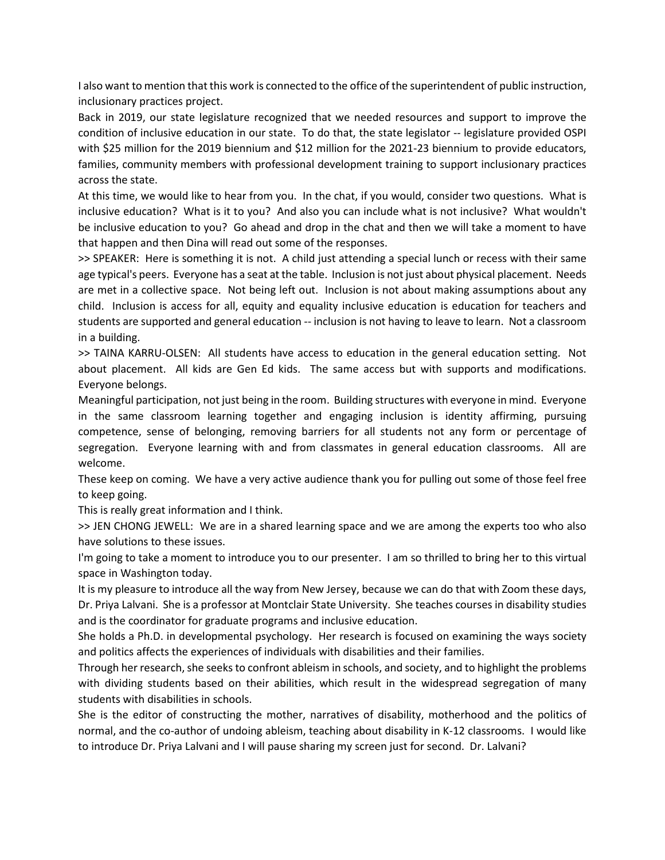I also want to mention that this work is connected to the office of the superintendent of public instruction, inclusionary practices project.

Back in 2019, our state legislature recognized that we needed resources and support to improve the condition of inclusive education in our state. To do that, the state legislator -- legislature provided OSPI with \$25 million for the 2019 biennium and \$12 million for the 2021-23 biennium to provide educators, families, community members with professional development training to support inclusionary practices across the state.

At this time, we would like to hear from you. In the chat, if you would, consider two questions. What is inclusive education? What is it to you? And also you can include what is not inclusive? What wouldn't be inclusive education to you? Go ahead and drop in the chat and then we will take a moment to have that happen and then Dina will read out some of the responses.

>> SPEAKER: Here is something it is not. A child just attending a special lunch or recess with their same age typical's peers. Everyone has a seat at the table. Inclusion is not just about physical placement. Needs are met in a collective space. Not being left out. Inclusion is not about making assumptions about any child. Inclusion is access for all, equity and equality inclusive education is education for teachers and students are supported and general education -- inclusion is not having to leave to learn. Not a classroom in a building.

>> TAINA KARRU-OLSEN: All students have access to education in the general education setting. Not about placement. All kids are Gen Ed kids. The same access but with supports and modifications. Everyone belongs.

Meaningful participation, not just being in the room. Building structures with everyone in mind. Everyone in the same classroom learning together and engaging inclusion is identity affirming, pursuing competence, sense of belonging, removing barriers for all students not any form or percentage of segregation. Everyone learning with and from classmates in general education classrooms. All are welcome.

These keep on coming. We have a very active audience thank you for pulling out some of those feel free to keep going.

This is really great information and I think.

>> JEN CHONG JEWELL: We are in a shared learning space and we are among the experts too who also have solutions to these issues.

I'm going to take a moment to introduce you to our presenter. I am so thrilled to bring her to this virtual space in Washington today.

It is my pleasure to introduce all the way from New Jersey, because we can do that with Zoom these days, Dr. Priya Lalvani. She is a professor at Montclair State University. She teaches courses in disability studies and is the coordinator for graduate programs and inclusive education.

She holds a Ph.D. in developmental psychology. Her research is focused on examining the ways society and politics affects the experiences of individuals with disabilities and their families.

Through her research, she seeks to confront ableism in schools, and society, and to highlight the problems with dividing students based on their abilities, which result in the widespread segregation of many students with disabilities in schools.

She is the editor of constructing the mother, narratives of disability, motherhood and the politics of normal, and the co-author of undoing ableism, teaching about disability in K-12 classrooms. I would like to introduce Dr. Priya Lalvani and I will pause sharing my screen just for second. Dr. Lalvani?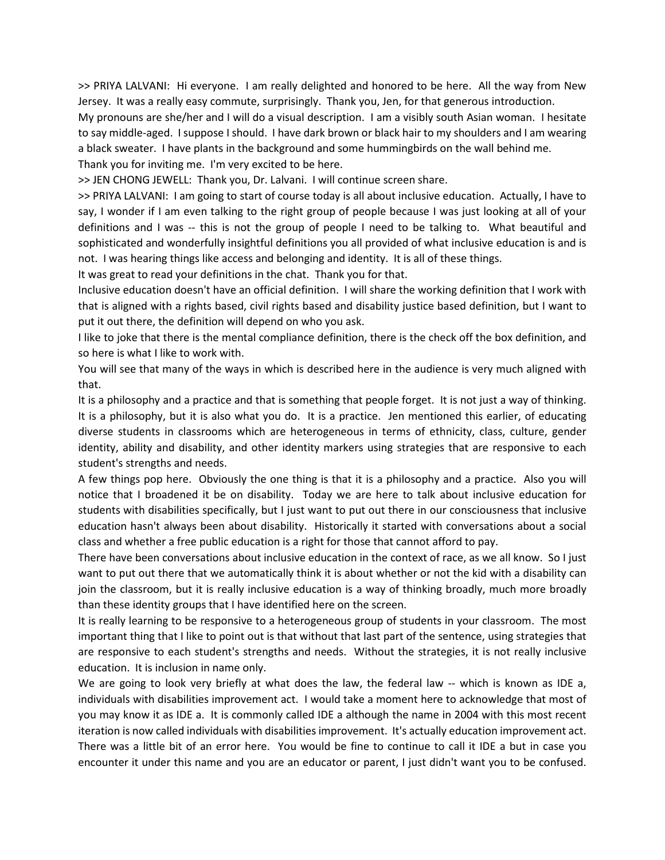>> PRIYA LALVANI: Hi everyone. I am really delighted and honored to be here. All the way from New Jersey. It was a really easy commute, surprisingly. Thank you, Jen, for that generous introduction.

My pronouns are she/her and I will do a visual description. I am a visibly south Asian woman. I hesitate to say middle-aged. I suppose I should. I have dark brown or black hair to my shoulders and I am wearing a black sweater. I have plants in the background and some hummingbirds on the wall behind me.

Thank you for inviting me. I'm very excited to be here.

>> JEN CHONG JEWELL: Thank you, Dr. Lalvani. I will continue screen share.

>> PRIYA LALVANI: I am going to start of course today is all about inclusive education. Actually, I have to say, I wonder if I am even talking to the right group of people because I was just looking at all of your definitions and I was -- this is not the group of people I need to be talking to. What beautiful and sophisticated and wonderfully insightful definitions you all provided of what inclusive education is and is not. I was hearing things like access and belonging and identity. It is all of these things.

It was great to read your definitions in the chat. Thank you for that.

Inclusive education doesn't have an official definition. I will share the working definition that I work with that is aligned with a rights based, civil rights based and disability justice based definition, but I want to put it out there, the definition will depend on who you ask.

I like to joke that there is the mental compliance definition, there is the check off the box definition, and so here is what I like to work with.

You will see that many of the ways in which is described here in the audience is very much aligned with that.

It is a philosophy and a practice and that is something that people forget. It is not just a way of thinking. It is a philosophy, but it is also what you do. It is a practice. Jen mentioned this earlier, of educating diverse students in classrooms which are heterogeneous in terms of ethnicity, class, culture, gender identity, ability and disability, and other identity markers using strategies that are responsive to each student's strengths and needs.

A few things pop here. Obviously the one thing is that it is a philosophy and a practice. Also you will notice that I broadened it be on disability. Today we are here to talk about inclusive education for students with disabilities specifically, but I just want to put out there in our consciousness that inclusive education hasn't always been about disability. Historically it started with conversations about a social class and whether a free public education is a right for those that cannot afford to pay.

There have been conversations about inclusive education in the context of race, as we all know. So I just want to put out there that we automatically think it is about whether or not the kid with a disability can join the classroom, but it is really inclusive education is a way of thinking broadly, much more broadly than these identity groups that I have identified here on the screen.

It is really learning to be responsive to a heterogeneous group of students in your classroom. The most important thing that I like to point out is that without that last part of the sentence, using strategies that are responsive to each student's strengths and needs. Without the strategies, it is not really inclusive education. It is inclusion in name only.

We are going to look very briefly at what does the law, the federal law -- which is known as IDE a, individuals with disabilities improvement act. I would take a moment here to acknowledge that most of you may know it as IDE a. It is commonly called IDE a although the name in 2004 with this most recent iteration is now called individuals with disabilities improvement. It's actually education improvement act. There was a little bit of an error here. You would be fine to continue to call it IDE a but in case you encounter it under this name and you are an educator or parent, I just didn't want you to be confused.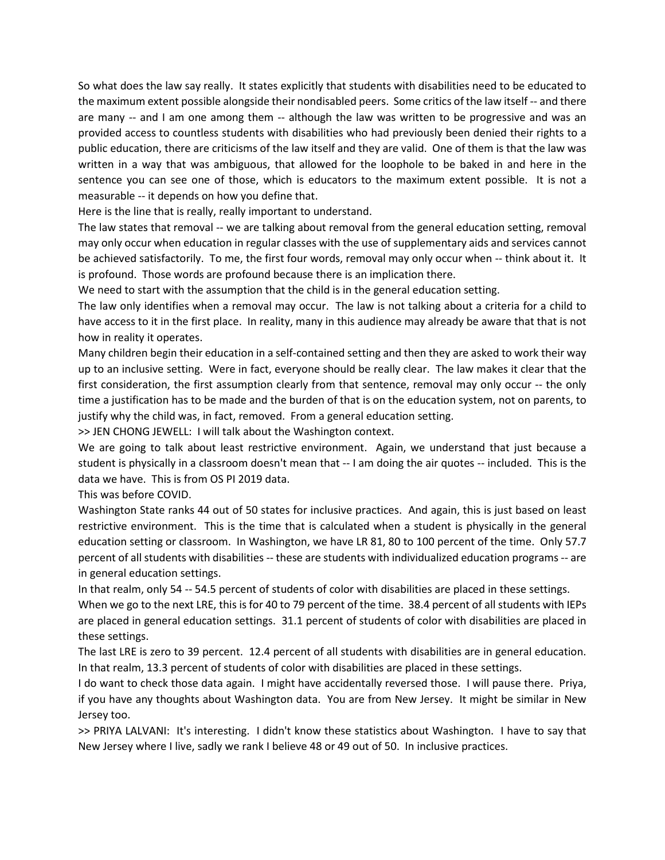So what does the law say really. It states explicitly that students with disabilities need to be educated to the maximum extent possible alongside their nondisabled peers. Some critics of the law itself -- and there are many -- and I am one among them -- although the law was written to be progressive and was an provided access to countless students with disabilities who had previously been denied their rights to a public education, there are criticisms of the law itself and they are valid. One of them is that the law was written in a way that was ambiguous, that allowed for the loophole to be baked in and here in the sentence you can see one of those, which is educators to the maximum extent possible. It is not a measurable -- it depends on how you define that.

Here is the line that is really, really important to understand.

The law states that removal -- we are talking about removal from the general education setting, removal may only occur when education in regular classes with the use of supplementary aids and services cannot be achieved satisfactorily. To me, the first four words, removal may only occur when -- think about it. It is profound. Those words are profound because there is an implication there.

We need to start with the assumption that the child is in the general education setting.

The law only identifies when a removal may occur. The law is not talking about a criteria for a child to have access to it in the first place. In reality, many in this audience may already be aware that that is not how in reality it operates.

Many children begin their education in a self-contained setting and then they are asked to work their way up to an inclusive setting. Were in fact, everyone should be really clear. The law makes it clear that the first consideration, the first assumption clearly from that sentence, removal may only occur -- the only time a justification has to be made and the burden of that is on the education system, not on parents, to justify why the child was, in fact, removed. From a general education setting.

>> JEN CHONG JEWELL: I will talk about the Washington context.

We are going to talk about least restrictive environment. Again, we understand that just because a student is physically in a classroom doesn't mean that -- I am doing the air quotes -- included. This is the data we have. This is from OS PI 2019 data.

This was before COVID.

Washington State ranks 44 out of 50 states for inclusive practices. And again, this is just based on least restrictive environment. This is the time that is calculated when a student is physically in the general education setting or classroom. In Washington, we have LR 81, 80 to 100 percent of the time. Only 57.7 percent of all students with disabilities -- these are students with individualized education programs -- are in general education settings.

In that realm, only 54 -- 54.5 percent of students of color with disabilities are placed in these settings. When we go to the next LRE, this is for 40 to 79 percent of the time. 38.4 percent of all students with IEPs are placed in general education settings. 31.1 percent of students of color with disabilities are placed in these settings.

The last LRE is zero to 39 percent. 12.4 percent of all students with disabilities are in general education. In that realm, 13.3 percent of students of color with disabilities are placed in these settings.

I do want to check those data again. I might have accidentally reversed those. I will pause there. Priya, if you have any thoughts about Washington data. You are from New Jersey. It might be similar in New Jersey too.

>> PRIYA LALVANI: It's interesting. I didn't know these statistics about Washington. I have to say that New Jersey where I live, sadly we rank I believe 48 or 49 out of 50. In inclusive practices.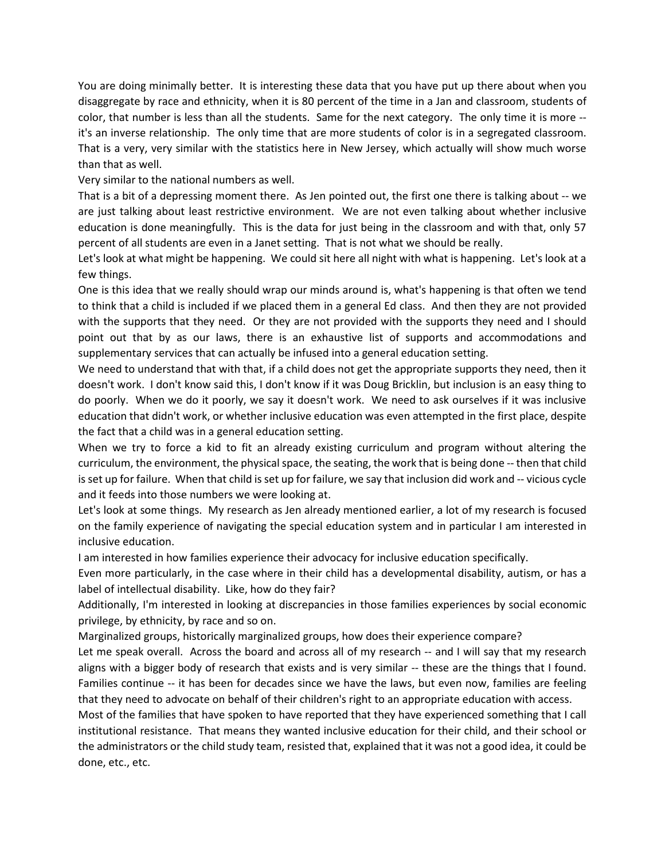You are doing minimally better. It is interesting these data that you have put up there about when you disaggregate by race and ethnicity, when it is 80 percent of the time in a Jan and classroom, students of color, that number is less than all the students. Same for the next category. The only time it is more - it's an inverse relationship. The only time that are more students of color is in a segregated classroom. That is a very, very similar with the statistics here in New Jersey, which actually will show much worse than that as well.

Very similar to the national numbers as well.

That is a bit of a depressing moment there. As Jen pointed out, the first one there is talking about -- we are just talking about least restrictive environment. We are not even talking about whether inclusive education is done meaningfully. This is the data for just being in the classroom and with that, only 57 percent of all students are even in a Janet setting. That is not what we should be really.

Let's look at what might be happening. We could sit here all night with what is happening. Let's look at a few things.

One is this idea that we really should wrap our minds around is, what's happening is that often we tend to think that a child is included if we placed them in a general Ed class. And then they are not provided with the supports that they need. Or they are not provided with the supports they need and I should point out that by as our laws, there is an exhaustive list of supports and accommodations and supplementary services that can actually be infused into a general education setting.

We need to understand that with that, if a child does not get the appropriate supports they need, then it doesn't work. I don't know said this, I don't know if it was Doug Bricklin, but inclusion is an easy thing to do poorly. When we do it poorly, we say it doesn't work. We need to ask ourselves if it was inclusive education that didn't work, or whether inclusive education was even attempted in the first place, despite the fact that a child was in a general education setting.

When we try to force a kid to fit an already existing curriculum and program without altering the curriculum, the environment, the physical space, the seating, the work that is being done -- then that child is set up for failure. When that child is set up for failure, we say that inclusion did work and -- vicious cycle and it feeds into those numbers we were looking at.

Let's look at some things. My research as Jen already mentioned earlier, a lot of my research is focused on the family experience of navigating the special education system and in particular I am interested in inclusive education.

I am interested in how families experience their advocacy for inclusive education specifically.

Even more particularly, in the case where in their child has a developmental disability, autism, or has a label of intellectual disability. Like, how do they fair?

Additionally, I'm interested in looking at discrepancies in those families experiences by social economic privilege, by ethnicity, by race and so on.

Marginalized groups, historically marginalized groups, how does their experience compare?

Let me speak overall. Across the board and across all of my research -- and I will say that my research aligns with a bigger body of research that exists and is very similar -- these are the things that I found. Families continue -- it has been for decades since we have the laws, but even now, families are feeling that they need to advocate on behalf of their children's right to an appropriate education with access.

Most of the families that have spoken to have reported that they have experienced something that I call institutional resistance. That means they wanted inclusive education for their child, and their school or the administrators or the child study team, resisted that, explained that it was not a good idea, it could be done, etc., etc.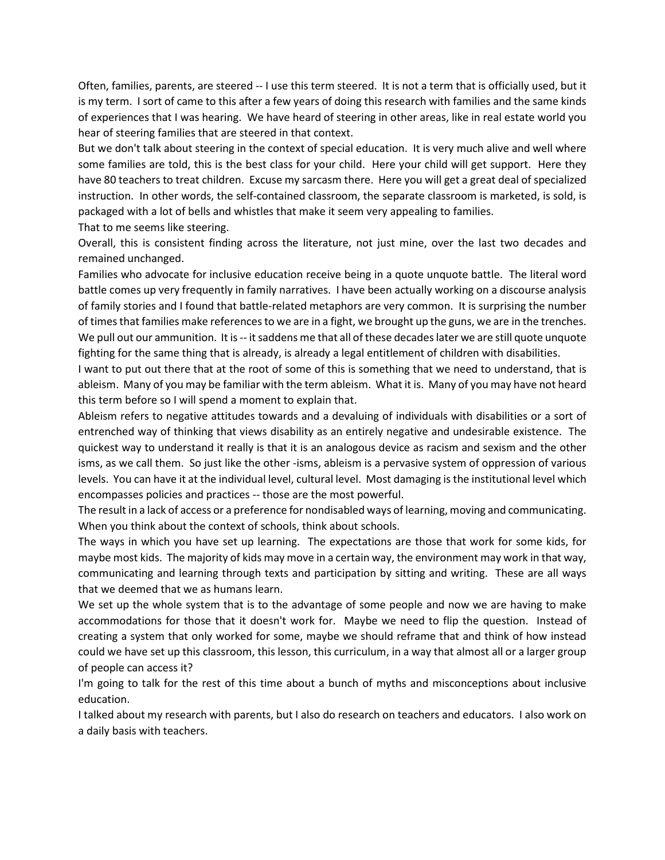Often, families, parents, are steered -- I use this term steered. It is not a term that is officially used, but it is my term. I sort of came to this after a few years of doing this research with families and the same kinds of experiences that I was hearing. We have heard of steering in other areas, like in real estate world you hear of steering families that are steered in that context.

But we don't talk about steering in the context of special education. It is very much alive and well where some families are told, this is the best class for your child. Here your child will get support. Here they have 80 teachers to treat children. Excuse my sarcasm there. Here you will get a great deal of specialized instruction. In other words, the self-contained classroom, the separate classroom is marketed, is sold, is packaged with a lot of bells and whistles that make it seem very appealing to families.

That to me seems like steering.

Overall, this is consistent finding across the literature, not just mine, over the last two decades and remained unchanged.

Families who advocate for inclusive education receive being in a quote unquote battle. The literal word battle comes up very frequently in family narratives. I have been actually working on a discourse analysis of family stories and I found that battle-related metaphors are very common. It is surprising the number of times that families make references to we are in a fight, we brought up the guns, we are in the trenches. We pull out our ammunition. It is -- it saddens me that all of these decades later we are still quote unquote fighting for the same thing that is already, is already a legal entitlement of children with disabilities.

I want to put out there that at the root of some of this is something that we need to understand, that is ableism. Many of you may be familiar with the term ableism. What it is. Many of you may have not heard this term before so I will spend a moment to explain that.

Ableism refers to negative attitudes towards and a devaluing of individuals with disabilities or a sort of entrenched way of thinking that views disability as an entirely negative and undesirable existence. The quickest way to understand it really is that it is an analogous device as racism and sexism and the other isms, as we call them. So just like the other -isms, ableism is a pervasive system of oppression of various levels. You can have it at the individual level, cultural level. Most damaging is the institutional level which encompasses policies and practices -- those are the most powerful.

The result in a lack of access or a preference for nondisabled ways of learning, moving and communicating. When you think about the context of schools, think about schools.

The ways in which you have set up learning. The expectations are those that work for some kids, for maybe most kids. The majority of kids may move in a certain way, the environment may work in that way, communicating and learning through texts and participation by sitting and writing. These are all ways that we deemed that we as humans learn.

We set up the whole system that is to the advantage of some people and now we are having to make accommodations for those that it doesn't work for. Maybe we need to flip the question. Instead of creating a system that only worked for some, maybe we should reframe that and think of how instead could we have set up this classroom, this lesson, this curriculum, in a way that almost all or a larger group of people can access it?

I'm going to talk for the rest of this time about a bunch of myths and misconceptions about inclusive education.

I talked about my research with parents, but I also do research on teachers and educators. I also work on a daily basis with teachers.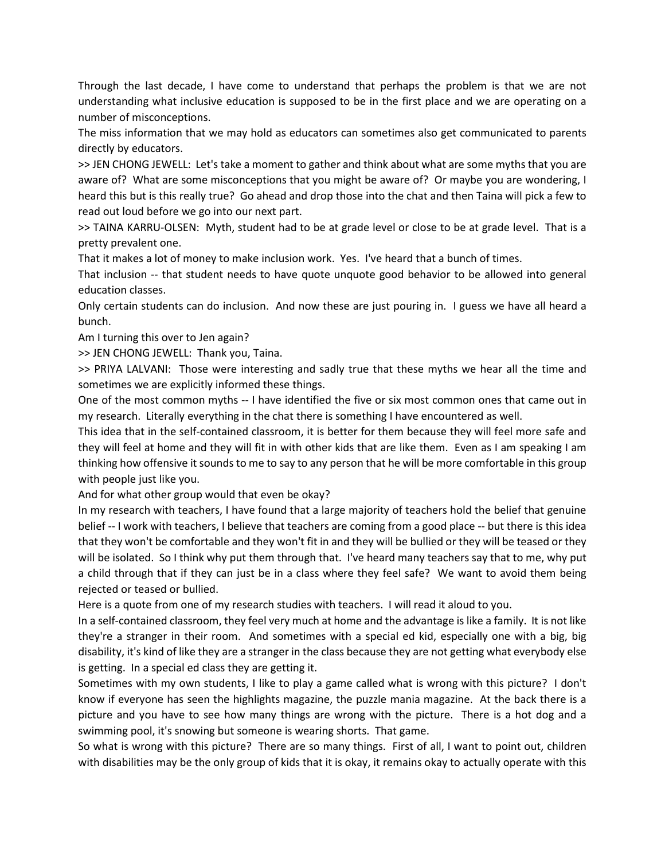Through the last decade, I have come to understand that perhaps the problem is that we are not understanding what inclusive education is supposed to be in the first place and we are operating on a number of misconceptions.

The miss information that we may hold as educators can sometimes also get communicated to parents directly by educators.

>> JEN CHONG JEWELL: Let's take a moment to gather and think about what are some myths that you are aware of? What are some misconceptions that you might be aware of? Or maybe you are wondering, I heard this but is this really true? Go ahead and drop those into the chat and then Taina will pick a few to read out loud before we go into our next part.

>> TAINA KARRU-OLSEN: Myth, student had to be at grade level or close to be at grade level. That is a pretty prevalent one.

That it makes a lot of money to make inclusion work. Yes. I've heard that a bunch of times.

That inclusion -- that student needs to have quote unquote good behavior to be allowed into general education classes.

Only certain students can do inclusion. And now these are just pouring in. I guess we have all heard a bunch.

Am I turning this over to Jen again?

>> JEN CHONG JEWELL: Thank you, Taina.

>> PRIYA LALVANI: Those were interesting and sadly true that these myths we hear all the time and sometimes we are explicitly informed these things.

One of the most common myths -- I have identified the five or six most common ones that came out in my research. Literally everything in the chat there is something I have encountered as well.

This idea that in the self-contained classroom, it is better for them because they will feel more safe and they will feel at home and they will fit in with other kids that are like them. Even as I am speaking I am thinking how offensive it sounds to me to say to any person that he will be more comfortable in this group with people just like you.

And for what other group would that even be okay?

In my research with teachers, I have found that a large majority of teachers hold the belief that genuine belief -- I work with teachers, I believe that teachers are coming from a good place -- but there is this idea that they won't be comfortable and they won't fit in and they will be bullied or they will be teased or they will be isolated. So I think why put them through that. I've heard many teachers say that to me, why put a child through that if they can just be in a class where they feel safe? We want to avoid them being rejected or teased or bullied.

Here is a quote from one of my research studies with teachers. I will read it aloud to you.

In a self-contained classroom, they feel very much at home and the advantage is like a family. It is not like they're a stranger in their room. And sometimes with a special ed kid, especially one with a big, big disability, it's kind of like they are a stranger in the class because they are not getting what everybody else is getting. In a special ed class they are getting it.

Sometimes with my own students, I like to play a game called what is wrong with this picture? I don't know if everyone has seen the highlights magazine, the puzzle mania magazine. At the back there is a picture and you have to see how many things are wrong with the picture. There is a hot dog and a swimming pool, it's snowing but someone is wearing shorts. That game.

So what is wrong with this picture? There are so many things. First of all, I want to point out, children with disabilities may be the only group of kids that it is okay, it remains okay to actually operate with this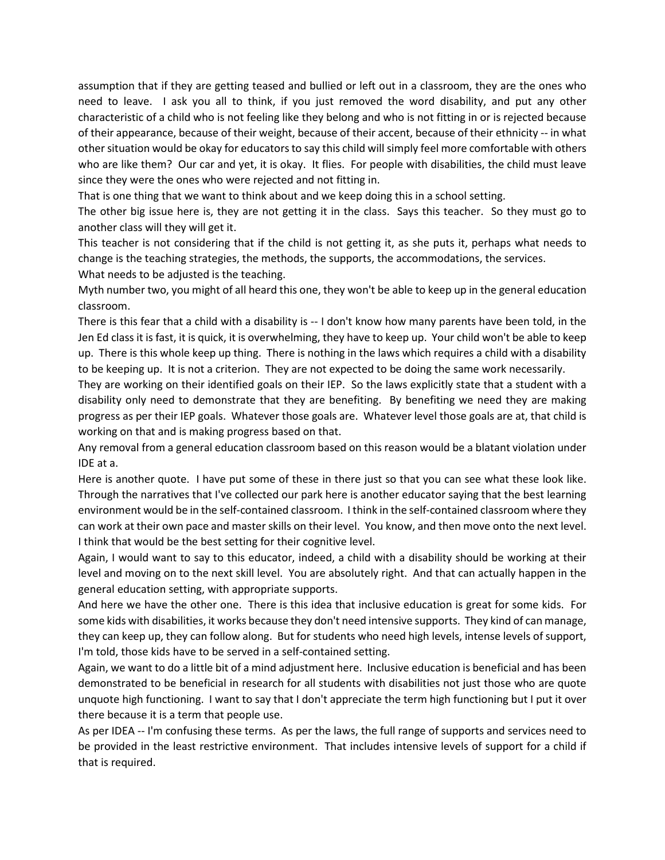assumption that if they are getting teased and bullied or left out in a classroom, they are the ones who need to leave. I ask you all to think, if you just removed the word disability, and put any other characteristic of a child who is not feeling like they belong and who is not fitting in or is rejected because of their appearance, because of their weight, because of their accent, because of their ethnicity -- in what other situation would be okay for educators to say this child will simply feel more comfortable with others who are like them? Our car and yet, it is okay. It flies. For people with disabilities, the child must leave since they were the ones who were rejected and not fitting in.

That is one thing that we want to think about and we keep doing this in a school setting.

The other big issue here is, they are not getting it in the class. Says this teacher. So they must go to another class will they will get it.

This teacher is not considering that if the child is not getting it, as she puts it, perhaps what needs to change is the teaching strategies, the methods, the supports, the accommodations, the services.

What needs to be adjusted is the teaching.

Myth number two, you might of all heard this one, they won't be able to keep up in the general education classroom.

There is this fear that a child with a disability is -- I don't know how many parents have been told, in the Jen Ed class it is fast, it is quick, it is overwhelming, they have to keep up. Your child won't be able to keep up. There is this whole keep up thing. There is nothing in the laws which requires a child with a disability to be keeping up. It is not a criterion. They are not expected to be doing the same work necessarily.

They are working on their identified goals on their IEP. So the laws explicitly state that a student with a disability only need to demonstrate that they are benefiting. By benefiting we need they are making progress as per their IEP goals. Whatever those goals are. Whatever level those goals are at, that child is working on that and is making progress based on that.

Any removal from a general education classroom based on this reason would be a blatant violation under IDE at a.

Here is another quote. I have put some of these in there just so that you can see what these look like. Through the narratives that I've collected our park here is another educator saying that the best learning environment would be in the self-contained classroom. I think in the self-contained classroom where they can work at their own pace and master skills on their level. You know, and then move onto the next level. I think that would be the best setting for their cognitive level.

Again, I would want to say to this educator, indeed, a child with a disability should be working at their level and moving on to the next skill level. You are absolutely right. And that can actually happen in the general education setting, with appropriate supports.

And here we have the other one. There is this idea that inclusive education is great for some kids. For some kids with disabilities, it works because they don't need intensive supports. They kind of can manage, they can keep up, they can follow along. But for students who need high levels, intense levels of support, I'm told, those kids have to be served in a self-contained setting.

Again, we want to do a little bit of a mind adjustment here. Inclusive education is beneficial and has been demonstrated to be beneficial in research for all students with disabilities not just those who are quote unquote high functioning. I want to say that I don't appreciate the term high functioning but I put it over there because it is a term that people use.

As per IDEA -- I'm confusing these terms. As per the laws, the full range of supports and services need to be provided in the least restrictive environment. That includes intensive levels of support for a child if that is required.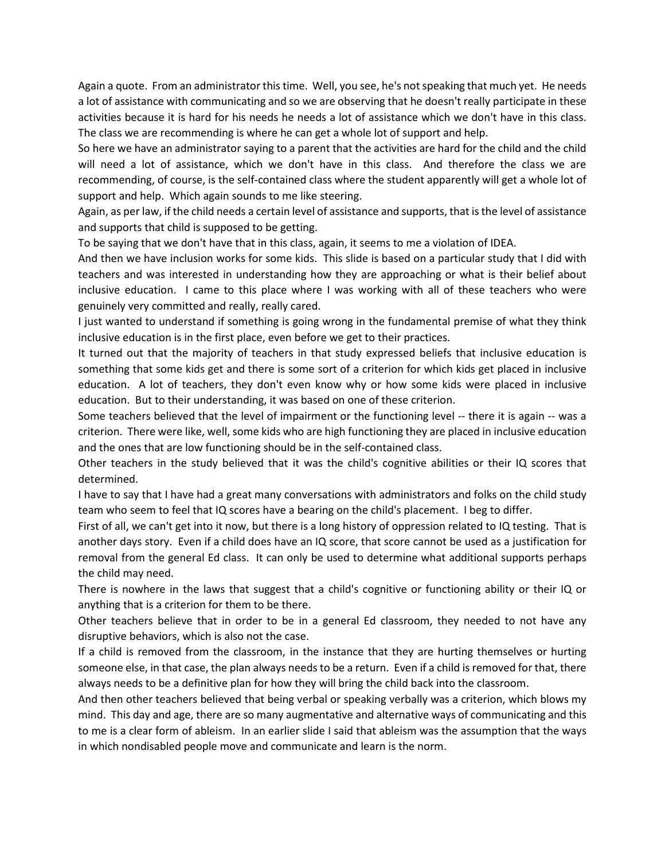Again a quote. From an administrator this time. Well, you see, he's not speaking that much yet. He needs a lot of assistance with communicating and so we are observing that he doesn't really participate in these activities because it is hard for his needs he needs a lot of assistance which we don't have in this class. The class we are recommending is where he can get a whole lot of support and help.

So here we have an administrator saying to a parent that the activities are hard for the child and the child will need a lot of assistance, which we don't have in this class. And therefore the class we are recommending, of course, is the self-contained class where the student apparently will get a whole lot of support and help. Which again sounds to me like steering.

Again, as per law, if the child needs a certain level of assistance and supports, that is the level of assistance and supports that child is supposed to be getting.

To be saying that we don't have that in this class, again, it seems to me a violation of IDEA.

And then we have inclusion works for some kids. This slide is based on a particular study that I did with teachers and was interested in understanding how they are approaching or what is their belief about inclusive education. I came to this place where I was working with all of these teachers who were genuinely very committed and really, really cared.

I just wanted to understand if something is going wrong in the fundamental premise of what they think inclusive education is in the first place, even before we get to their practices.

It turned out that the majority of teachers in that study expressed beliefs that inclusive education is something that some kids get and there is some sort of a criterion for which kids get placed in inclusive education. A lot of teachers, they don't even know why or how some kids were placed in inclusive education. But to their understanding, it was based on one of these criterion.

Some teachers believed that the level of impairment or the functioning level -- there it is again -- was a criterion. There were like, well, some kids who are high functioning they are placed in inclusive education and the ones that are low functioning should be in the self-contained class.

Other teachers in the study believed that it was the child's cognitive abilities or their IQ scores that determined.

I have to say that I have had a great many conversations with administrators and folks on the child study team who seem to feel that IQ scores have a bearing on the child's placement. I beg to differ.

First of all, we can't get into it now, but there is a long history of oppression related to IQ testing. That is another days story. Even if a child does have an IQ score, that score cannot be used as a justification for removal from the general Ed class. It can only be used to determine what additional supports perhaps the child may need.

There is nowhere in the laws that suggest that a child's cognitive or functioning ability or their IQ or anything that is a criterion for them to be there.

Other teachers believe that in order to be in a general Ed classroom, they needed to not have any disruptive behaviors, which is also not the case.

If a child is removed from the classroom, in the instance that they are hurting themselves or hurting someone else, in that case, the plan always needs to be a return. Even if a child is removed for that, there always needs to be a definitive plan for how they will bring the child back into the classroom.

And then other teachers believed that being verbal or speaking verbally was a criterion, which blows my mind. This day and age, there are so many augmentative and alternative ways of communicating and this to me is a clear form of ableism. In an earlier slide I said that ableism was the assumption that the ways in which nondisabled people move and communicate and learn is the norm.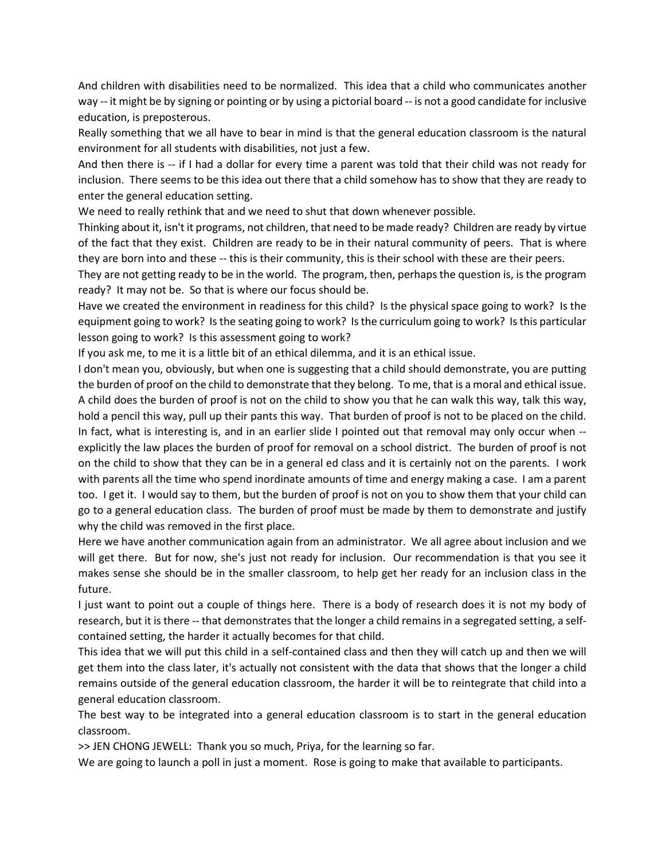And children with disabilities need to be normalized. This idea that a child who communicates another way -- it might be by signing or pointing or by using a pictorial board -- is not a good candidate for inclusive education, is preposterous.

Really something that we all have to bear in mind is that the general education classroom is the natural environment for all students with disabilities, not just a few.

And then there is -- if I had a dollar for every time a parent was told that their child was not ready for inclusion. There seems to be this idea out there that a child somehow has to show that they are ready to enter the general education setting.

We need to really rethink that and we need to shut that down whenever possible.

Thinking about it, isn't it programs, not children, that need to be made ready? Children are ready by virtue of the fact that they exist. Children are ready to be in their natural community of peers. That is where they are born into and these -- this is their community, this is their school with these are their peers.

They are not getting ready to be in the world. The program, then, perhaps the question is, is the program ready? It may not be. So that is where our focus should be.

Have we created the environment in readiness for this child? Is the physical space going to work? Is the equipment going to work? Is the seating going to work? Is the curriculum going to work? Is this particular lesson going to work? Is this assessment going to work?

If you ask me, to me it is a little bit of an ethical dilemma, and it is an ethical issue.

I don't mean you, obviously, but when one is suggesting that a child should demonstrate, you are putting the burden of proof on the child to demonstrate that they belong. To me, that is a moral and ethical issue. A child does the burden of proof is not on the child to show you that he can walk this way, talk this way, hold a pencil this way, pull up their pants this way. That burden of proof is not to be placed on the child. In fact, what is interesting is, and in an earlier slide I pointed out that removal may only occur when - explicitly the law places the burden of proof for removal on a school district. The burden of proof is not on the child to show that they can be in a general ed class and it is certainly not on the parents. I work with parents all the time who spend inordinate amounts of time and energy making a case. I am a parent too. I get it. I would say to them, but the burden of proof is not on you to show them that your child can go to a general education class. The burden of proof must be made by them to demonstrate and justify why the child was removed in the first place.

Here we have another communication again from an administrator. We all agree about inclusion and we will get there. But for now, she's just not ready for inclusion. Our recommendation is that you see it makes sense she should be in the smaller classroom, to help get her ready for an inclusion class in the future.

I just want to point out a couple of things here. There is a body of research does it is not my body of research, but it is there -- that demonstrates that the longer a child remains in a segregated setting, a selfcontained setting, the harder it actually becomes for that child.

This idea that we will put this child in a self-contained class and then they will catch up and then we will get them into the class later, it's actually not consistent with the data that shows that the longer a child remains outside of the general education classroom, the harder it will be to reintegrate that child into a general education classroom.

The best way to be integrated into a general education classroom is to start in the general education classroom.

>> JEN CHONG JEWELL: Thank you so much, Priya, for the learning so far.

We are going to launch a poll in just a moment. Rose is going to make that available to participants.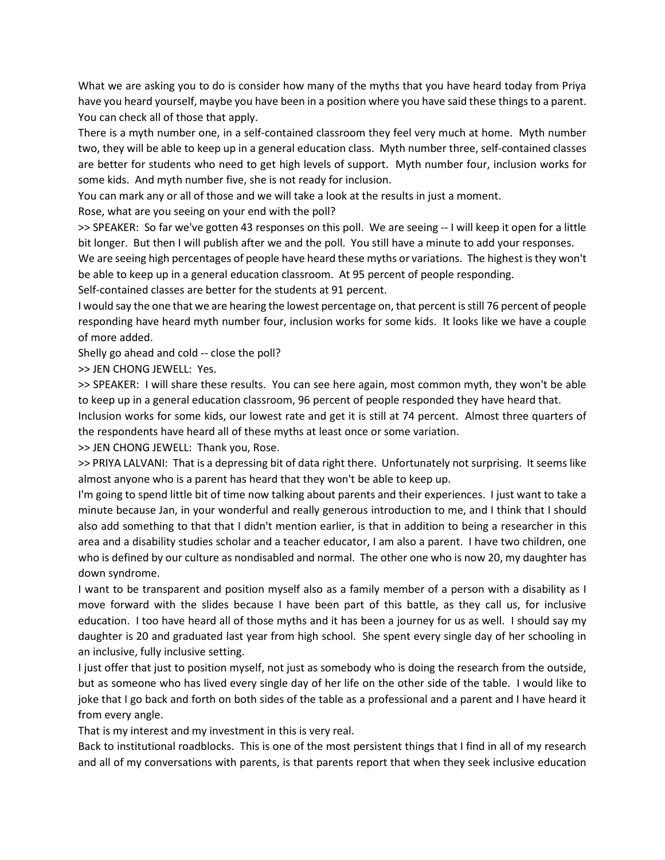What we are asking you to do is consider how many of the myths that you have heard today from Priya have you heard yourself, maybe you have been in a position where you have said these things to a parent. You can check all of those that apply.

There is a myth number one, in a self-contained classroom they feel very much at home. Myth number two, they will be able to keep up in a general education class. Myth number three, self-contained classes are better for students who need to get high levels of support. Myth number four, inclusion works for some kids. And myth number five, she is not ready for inclusion.

You can mark any or all of those and we will take a look at the results in just a moment.

Rose, what are you seeing on your end with the poll?

>> SPEAKER: So far we've gotten 43 responses on this poll. We are seeing -- I will keep it open for a little bit longer. But then I will publish after we and the poll. You still have a minute to add your responses.

We are seeing high percentages of people have heard these myths or variations. The highest is they won't be able to keep up in a general education classroom. At 95 percent of people responding.

Self-contained classes are better for the students at 91 percent.

I would say the one that we are hearing the lowest percentage on, that percent is still 76 percent of people responding have heard myth number four, inclusion works for some kids. It looks like we have a couple of more added.

Shelly go ahead and cold -- close the poll?

>> JEN CHONG JEWELL: Yes.

>> SPEAKER: I will share these results. You can see here again, most common myth, they won't be able to keep up in a general education classroom, 96 percent of people responded they have heard that.

Inclusion works for some kids, our lowest rate and get it is still at 74 percent. Almost three quarters of the respondents have heard all of these myths at least once or some variation.

>> JEN CHONG JEWELL: Thank you, Rose.

>> PRIYA LALVANI: That is a depressing bit of data right there. Unfortunately not surprising. It seems like almost anyone who is a parent has heard that they won't be able to keep up.

I'm going to spend little bit of time now talking about parents and their experiences. I just want to take a minute because Jan, in your wonderful and really generous introduction to me, and I think that I should also add something to that that I didn't mention earlier, is that in addition to being a researcher in this area and a disability studies scholar and a teacher educator, I am also a parent. I have two children, one who is defined by our culture as nondisabled and normal. The other one who is now 20, my daughter has down syndrome.

I want to be transparent and position myself also as a family member of a person with a disability as I move forward with the slides because I have been part of this battle, as they call us, for inclusive education. I too have heard all of those myths and it has been a journey for us as well. I should say my daughter is 20 and graduated last year from high school. She spent every single day of her schooling in an inclusive, fully inclusive setting.

I just offer that just to position myself, not just as somebody who is doing the research from the outside, but as someone who has lived every single day of her life on the other side of the table. I would like to joke that I go back and forth on both sides of the table as a professional and a parent and I have heard it from every angle.

That is my interest and my investment in this is very real.

Back to institutional roadblocks. This is one of the most persistent things that I find in all of my research and all of my conversations with parents, is that parents report that when they seek inclusive education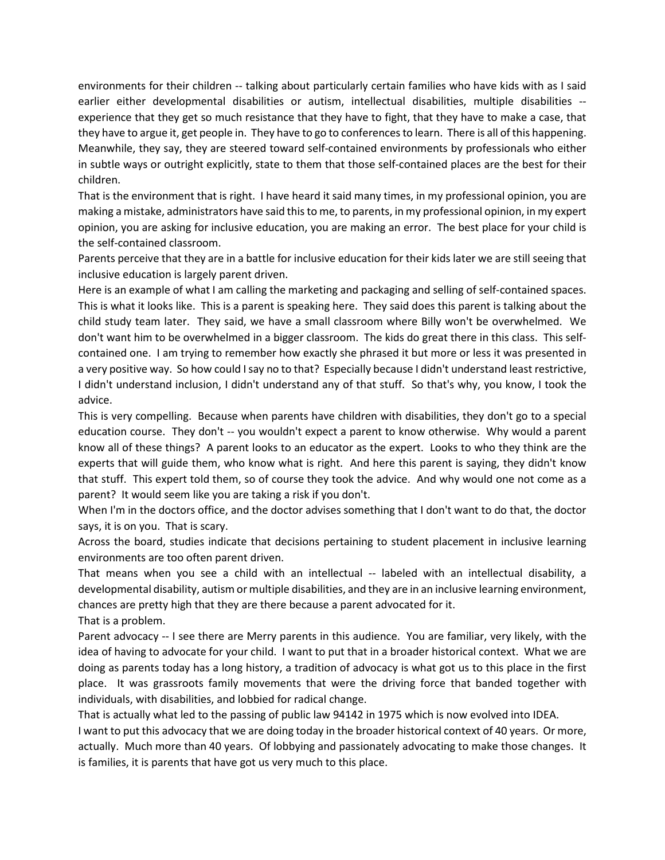environments for their children -- talking about particularly certain families who have kids with as I said earlier either developmental disabilities or autism, intellectual disabilities, multiple disabilities - experience that they get so much resistance that they have to fight, that they have to make a case, that they have to argue it, get people in. They have to go to conferences to learn. There is all of this happening. Meanwhile, they say, they are steered toward self-contained environments by professionals who either in subtle ways or outright explicitly, state to them that those self-contained places are the best for their children.

That is the environment that is right. I have heard it said many times, in my professional opinion, you are making a mistake, administrators have said this to me, to parents, in my professional opinion, in my expert opinion, you are asking for inclusive education, you are making an error. The best place for your child is the self-contained classroom.

Parents perceive that they are in a battle for inclusive education for their kids later we are still seeing that inclusive education is largely parent driven.

Here is an example of what I am calling the marketing and packaging and selling of self-contained spaces. This is what it looks like. This is a parent is speaking here. They said does this parent is talking about the child study team later. They said, we have a small classroom where Billy won't be overwhelmed. We don't want him to be overwhelmed in a bigger classroom. The kids do great there in this class. This selfcontained one. I am trying to remember how exactly she phrased it but more or less it was presented in a very positive way. So how could I say no to that? Especially because I didn't understand least restrictive, I didn't understand inclusion, I didn't understand any of that stuff. So that's why, you know, I took the advice.

This is very compelling. Because when parents have children with disabilities, they don't go to a special education course. They don't -- you wouldn't expect a parent to know otherwise. Why would a parent know all of these things? A parent looks to an educator as the expert. Looks to who they think are the experts that will guide them, who know what is right. And here this parent is saying, they didn't know that stuff. This expert told them, so of course they took the advice. And why would one not come as a parent? It would seem like you are taking a risk if you don't.

When I'm in the doctors office, and the doctor advises something that I don't want to do that, the doctor says, it is on you. That is scary.

Across the board, studies indicate that decisions pertaining to student placement in inclusive learning environments are too often parent driven.

That means when you see a child with an intellectual -- labeled with an intellectual disability, a developmental disability, autism or multiple disabilities, and they are in an inclusive learning environment, chances are pretty high that they are there because a parent advocated for it.

That is a problem.

Parent advocacy -- I see there are Merry parents in this audience. You are familiar, very likely, with the idea of having to advocate for your child. I want to put that in a broader historical context. What we are doing as parents today has a long history, a tradition of advocacy is what got us to this place in the first place. It was grassroots family movements that were the driving force that banded together with individuals, with disabilities, and lobbied for radical change.

That is actually what led to the passing of public law 94142 in 1975 which is now evolved into IDEA. I want to put this advocacy that we are doing today in the broader historical context of 40 years. Or more, actually. Much more than 40 years. Of lobbying and passionately advocating to make those changes. It is families, it is parents that have got us very much to this place.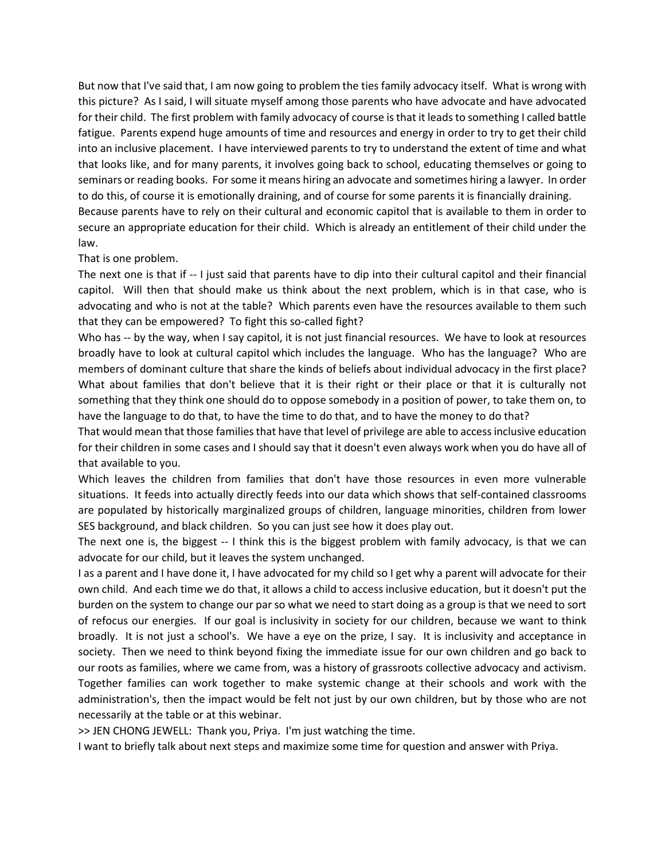But now that I've said that, I am now going to problem the ties family advocacy itself. What is wrong with this picture? As I said, I will situate myself among those parents who have advocate and have advocated for their child. The first problem with family advocacy of course is that it leads to something I called battle fatigue. Parents expend huge amounts of time and resources and energy in order to try to get their child into an inclusive placement. I have interviewed parents to try to understand the extent of time and what that looks like, and for many parents, it involves going back to school, educating themselves or going to seminars or reading books. For some it means hiring an advocate and sometimes hiring a lawyer. In order to do this, of course it is emotionally draining, and of course for some parents it is financially draining. Because parents have to rely on their cultural and economic capitol that is available to them in order to secure an appropriate education for their child. Which is already an entitlement of their child under the

## That is one problem.

law.

The next one is that if -- I just said that parents have to dip into their cultural capitol and their financial capitol. Will then that should make us think about the next problem, which is in that case, who is advocating and who is not at the table? Which parents even have the resources available to them such that they can be empowered? To fight this so-called fight?

Who has -- by the way, when I say capitol, it is not just financial resources. We have to look at resources broadly have to look at cultural capitol which includes the language. Who has the language? Who are members of dominant culture that share the kinds of beliefs about individual advocacy in the first place? What about families that don't believe that it is their right or their place or that it is culturally not something that they think one should do to oppose somebody in a position of power, to take them on, to have the language to do that, to have the time to do that, and to have the money to do that?

That would mean that those families that have that level of privilege are able to access inclusive education for their children in some cases and I should say that it doesn't even always work when you do have all of that available to you.

Which leaves the children from families that don't have those resources in even more vulnerable situations. It feeds into actually directly feeds into our data which shows that self-contained classrooms are populated by historically marginalized groups of children, language minorities, children from lower SES background, and black children. So you can just see how it does play out.

The next one is, the biggest -- I think this is the biggest problem with family advocacy, is that we can advocate for our child, but it leaves the system unchanged.

I as a parent and I have done it, I have advocated for my child so I get why a parent will advocate for their own child. And each time we do that, it allows a child to access inclusive education, but it doesn't put the burden on the system to change our par so what we need to start doing as a group is that we need to sort of refocus our energies. If our goal is inclusivity in society for our children, because we want to think broadly. It is not just a school's. We have a eye on the prize, I say. It is inclusivity and acceptance in society. Then we need to think beyond fixing the immediate issue for our own children and go back to our roots as families, where we came from, was a history of grassroots collective advocacy and activism. Together families can work together to make systemic change at their schools and work with the administration's, then the impact would be felt not just by our own children, but by those who are not necessarily at the table or at this webinar.

>> JEN CHONG JEWELL: Thank you, Priya. I'm just watching the time.

I want to briefly talk about next steps and maximize some time for question and answer with Priya.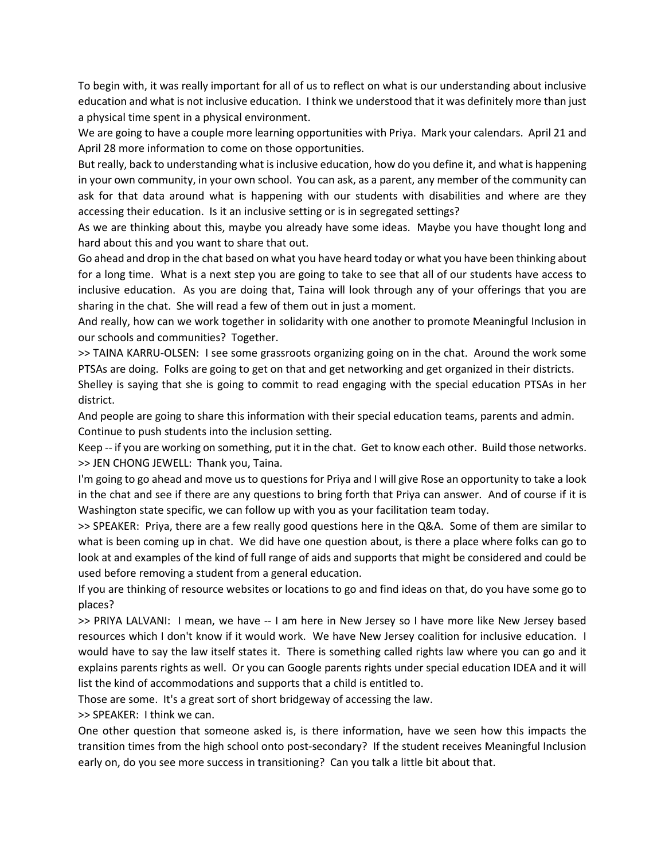To begin with, it was really important for all of us to reflect on what is our understanding about inclusive education and what is not inclusive education. I think we understood that it was definitely more than just a physical time spent in a physical environment.

We are going to have a couple more learning opportunities with Priya. Mark your calendars. April 21 and April 28 more information to come on those opportunities.

But really, back to understanding what is inclusive education, how do you define it, and what is happening in your own community, in your own school. You can ask, as a parent, any member of the community can ask for that data around what is happening with our students with disabilities and where are they accessing their education. Is it an inclusive setting or is in segregated settings?

As we are thinking about this, maybe you already have some ideas. Maybe you have thought long and hard about this and you want to share that out.

Go ahead and drop in the chat based on what you have heard today or what you have been thinking about for a long time. What is a next step you are going to take to see that all of our students have access to inclusive education. As you are doing that, Taina will look through any of your offerings that you are sharing in the chat. She will read a few of them out in just a moment.

And really, how can we work together in solidarity with one another to promote Meaningful Inclusion in our schools and communities? Together.

>> TAINA KARRU-OLSEN: I see some grassroots organizing going on in the chat. Around the work some PTSAs are doing. Folks are going to get on that and get networking and get organized in their districts.

Shelley is saying that she is going to commit to read engaging with the special education PTSAs in her district.

And people are going to share this information with their special education teams, parents and admin. Continue to push students into the inclusion setting.

Keep -- if you are working on something, put it in the chat. Get to know each other. Build those networks. >> JEN CHONG JEWELL: Thank you, Taina.

I'm going to go ahead and move us to questions for Priya and I will give Rose an opportunity to take a look in the chat and see if there are any questions to bring forth that Priya can answer. And of course if it is Washington state specific, we can follow up with you as your facilitation team today.

>> SPEAKER: Priya, there are a few really good questions here in the Q&A. Some of them are similar to what is been coming up in chat. We did have one question about, is there a place where folks can go to look at and examples of the kind of full range of aids and supports that might be considered and could be used before removing a student from a general education.

If you are thinking of resource websites or locations to go and find ideas on that, do you have some go to places?

>> PRIYA LALVANI: I mean, we have -- I am here in New Jersey so I have more like New Jersey based resources which I don't know if it would work. We have New Jersey coalition for inclusive education. I would have to say the law itself states it. There is something called rights law where you can go and it explains parents rights as well. Or you can Google parents rights under special education IDEA and it will list the kind of accommodations and supports that a child is entitled to.

Those are some. It's a great sort of short bridgeway of accessing the law.

>> SPEAKER: I think we can.

One other question that someone asked is, is there information, have we seen how this impacts the transition times from the high school onto post-secondary? If the student receives Meaningful Inclusion early on, do you see more success in transitioning? Can you talk a little bit about that.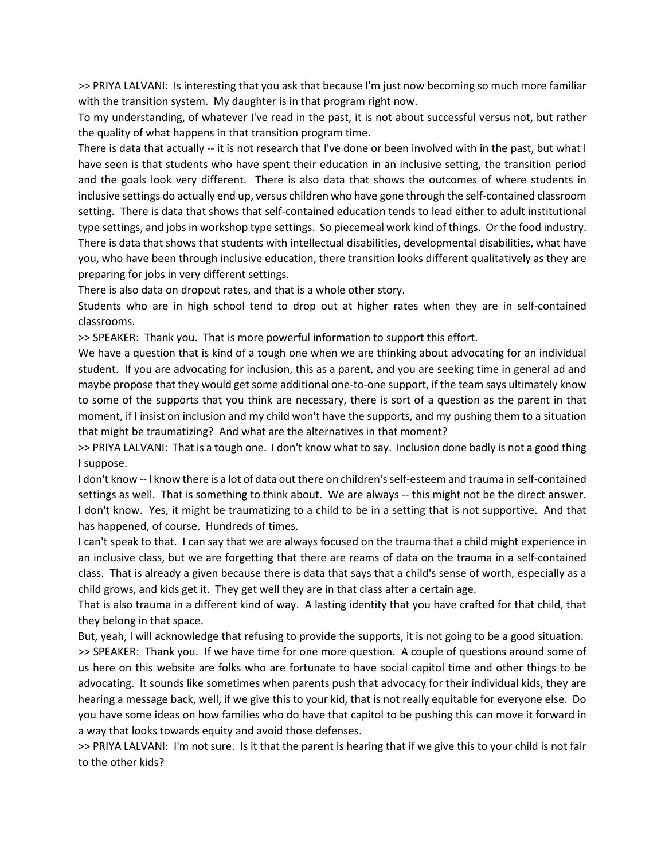>> PRIYA LALVANI: Is interesting that you ask that because I'm just now becoming so much more familiar with the transition system. My daughter is in that program right now.

To my understanding, of whatever I've read in the past, it is not about successful versus not, but rather the quality of what happens in that transition program time.

There is data that actually -- it is not research that I've done or been involved with in the past, but what I have seen is that students who have spent their education in an inclusive setting, the transition period and the goals look very different. There is also data that shows the outcomes of where students in inclusive settings do actually end up, versus children who have gone through the self-contained classroom setting. There is data that shows that self-contained education tends to lead either to adult institutional type settings, and jobs in workshop type settings. So piecemeal work kind of things. Or the food industry. There is data that shows that students with intellectual disabilities, developmental disabilities, what have you, who have been through inclusive education, there transition looks different qualitatively as they are preparing for jobs in very different settings.

There is also data on dropout rates, and that is a whole other story.

Students who are in high school tend to drop out at higher rates when they are in self-contained classrooms.

>> SPEAKER: Thank you. That is more powerful information to support this effort.

We have a question that is kind of a tough one when we are thinking about advocating for an individual student. If you are advocating for inclusion, this as a parent, and you are seeking time in general ad and maybe propose that they would get some additional one-to-one support, if the team says ultimately know to some of the supports that you think are necessary, there is sort of a question as the parent in that moment, if I insist on inclusion and my child won't have the supports, and my pushing them to a situation that might be traumatizing? And what are the alternatives in that moment?

>> PRIYA LALVANI: That is a tough one. I don't know what to say. Inclusion done badly is not a good thing I suppose.

I don't know -- I know there is a lot of data out there on children's self-esteem and trauma in self-contained settings as well. That is something to think about. We are always -- this might not be the direct answer. I don't know. Yes, it might be traumatizing to a child to be in a setting that is not supportive. And that has happened, of course. Hundreds of times.

I can't speak to that. I can say that we are always focused on the trauma that a child might experience in an inclusive class, but we are forgetting that there are reams of data on the trauma in a self-contained class. That is already a given because there is data that says that a child's sense of worth, especially as a child grows, and kids get it. They get well they are in that class after a certain age.

That is also trauma in a different kind of way. A lasting identity that you have crafted for that child, that they belong in that space.

But, yeah, I will acknowledge that refusing to provide the supports, it is not going to be a good situation.

>> SPEAKER: Thank you. If we have time for one more question. A couple of questions around some of us here on this website are folks who are fortunate to have social capitol time and other things to be advocating. It sounds like sometimes when parents push that advocacy for their individual kids, they are hearing a message back, well, if we give this to your kid, that is not really equitable for everyone else. Do you have some ideas on how families who do have that capitol to be pushing this can move it forward in a way that looks towards equity and avoid those defenses.

>> PRIYA LALVANI: I'm not sure. Is it that the parent is hearing that if we give this to your child is not fair to the other kids?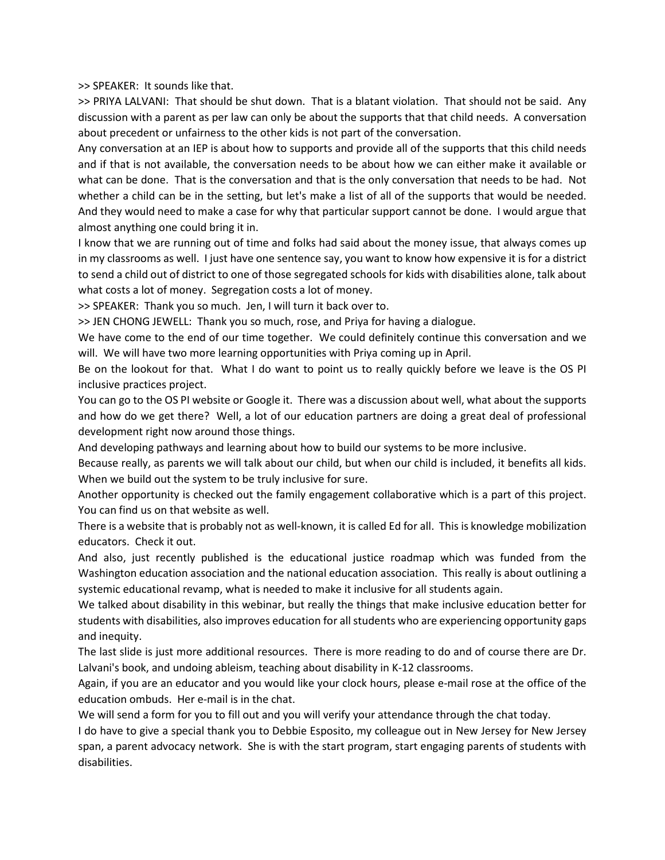>> SPEAKER: It sounds like that.

>> PRIYA LALVANI: That should be shut down. That is a blatant violation. That should not be said. Any discussion with a parent as per law can only be about the supports that that child needs. A conversation about precedent or unfairness to the other kids is not part of the conversation.

Any conversation at an IEP is about how to supports and provide all of the supports that this child needs and if that is not available, the conversation needs to be about how we can either make it available or what can be done. That is the conversation and that is the only conversation that needs to be had. Not whether a child can be in the setting, but let's make a list of all of the supports that would be needed. And they would need to make a case for why that particular support cannot be done. I would argue that almost anything one could bring it in.

I know that we are running out of time and folks had said about the money issue, that always comes up in my classrooms as well. I just have one sentence say, you want to know how expensive it is for a district to send a child out of district to one of those segregated schools for kids with disabilities alone, talk about what costs a lot of money. Segregation costs a lot of money.

>> SPEAKER: Thank you so much. Jen, I will turn it back over to.

>> JEN CHONG JEWELL: Thank you so much, rose, and Priya for having a dialogue.

We have come to the end of our time together. We could definitely continue this conversation and we will. We will have two more learning opportunities with Priya coming up in April.

Be on the lookout for that. What I do want to point us to really quickly before we leave is the OS PI inclusive practices project.

You can go to the OS PI website or Google it. There was a discussion about well, what about the supports and how do we get there? Well, a lot of our education partners are doing a great deal of professional development right now around those things.

And developing pathways and learning about how to build our systems to be more inclusive.

Because really, as parents we will talk about our child, but when our child is included, it benefits all kids. When we build out the system to be truly inclusive for sure.

Another opportunity is checked out the family engagement collaborative which is a part of this project. You can find us on that website as well.

There is a website that is probably not as well-known, it is called Ed for all. This is knowledge mobilization educators. Check it out.

And also, just recently published is the educational justice roadmap which was funded from the Washington education association and the national education association. This really is about outlining a systemic educational revamp, what is needed to make it inclusive for all students again.

We talked about disability in this webinar, but really the things that make inclusive education better for students with disabilities, also improves education for all students who are experiencing opportunity gaps and inequity.

The last slide is just more additional resources. There is more reading to do and of course there are Dr. Lalvani's book, and undoing ableism, teaching about disability in K-12 classrooms.

Again, if you are an educator and you would like your clock hours, please e-mail rose at the office of the education ombuds. Her e-mail is in the chat.

We will send a form for you to fill out and you will verify your attendance through the chat today.

I do have to give a special thank you to Debbie Esposito, my colleague out in New Jersey for New Jersey span, a parent advocacy network. She is with the start program, start engaging parents of students with disabilities.